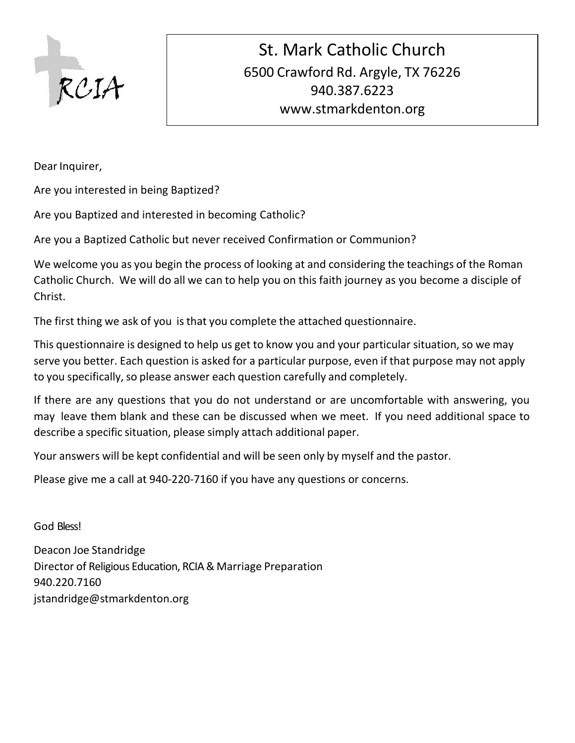

Dear Inquirer,

Are you interested in being Baptized?

Are you Baptized and interested in becoming Catholic?

Are you a Baptized Catholic but never received Confirmation or Communion?

We welcome you as you begin the process of looking at and considering the teachings of the Roman Catholic Church. We will do all we can to help you on this faith journey as you become a disciple of Christ.

The first thing we ask of you isthat you complete the attached questionnaire.

This questionnaire is designed to help us get to know you and your particular situation, so we may serve you better. Each question is asked for a particular purpose, even if that purpose may not apply to you specifically, so please answer each question carefully and completely.

If there are any questions that you do not understand or are uncomfortable with answering, you may leave them blank and these can be discussed when we meet. If you need additional space to describe a specific situation, please simply attach additional paper.

Your answers will be kept confidential and will be seen only by myself and the pastor.

Please give me a call at 940-220-7160 if you have any questions or concerns.

God Bless!

Deacon Joe Standridge Director of Religious Education, RCIA & Marriage Preparation 940.220.7160 [jstandridge@stmarkdenton.org](mailto:jstandridge@stmarkdenton.org)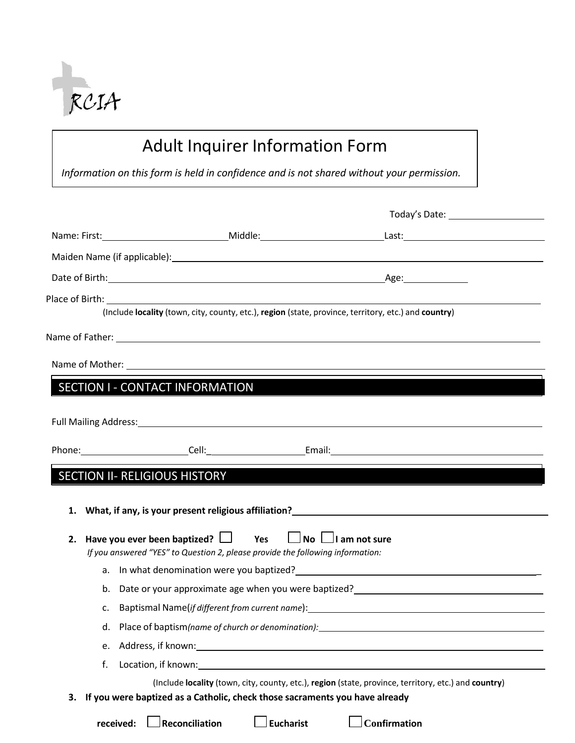

## Adult Inquirer Information Form

*Information on this form is held in confidence and is not shared without your permission.*

|    | (Include locality (town, city, county, etc.), region (state, province, territory, etc.) and country)           |                                                                                                                                                                                                                                |
|----|----------------------------------------------------------------------------------------------------------------|--------------------------------------------------------------------------------------------------------------------------------------------------------------------------------------------------------------------------------|
|    |                                                                                                                |                                                                                                                                                                                                                                |
|    | Name of Mother: 1999 Manual Manual Manual Manual Manual Manual Manual Manual Manual Manual Manual Manual Manua |                                                                                                                                                                                                                                |
|    | SECTION I - CONTACT INFORMATION                                                                                |                                                                                                                                                                                                                                |
|    |                                                                                                                |                                                                                                                                                                                                                                |
|    |                                                                                                                |                                                                                                                                                                                                                                |
|    |                                                                                                                | Phone: Cell: Cell: Cell: Email: Center Annual Cell: Contract Annual Cell: Center Annual Cell: Center Annual Ce                                                                                                                 |
|    | <b>SECTION II- RELIGIOUS HISTORY</b>                                                                           |                                                                                                                                                                                                                                |
|    |                                                                                                                |                                                                                                                                                                                                                                |
|    | 1. What, if any, is your present religious affiliation?_________________________                               |                                                                                                                                                                                                                                |
|    | 2. Have you ever been baptized? $\Box$ Yes $\Box$ No $\Box$ I am not sure                                      |                                                                                                                                                                                                                                |
|    | If you answered "YES" to Question 2, please provide the following information:                                 |                                                                                                                                                                                                                                |
|    |                                                                                                                | a. In what denomination were you baptized? The same of the state of the state of the state of the state of the                                                                                                                 |
|    | b.                                                                                                             | Date or your approximate age when you were baptized?<br><u>Date or your approximate age when you were baptized?</u>                                                                                                            |
|    | c.                                                                                                             | Baptismal Name(if different from current name): example and the state of the state of the state of the state of the state of the state of the state of the state of the state of the state of the state of the state of the st |
|    | d.                                                                                                             |                                                                                                                                                                                                                                |
|    | e.                                                                                                             |                                                                                                                                                                                                                                |
|    | f.                                                                                                             |                                                                                                                                                                                                                                |
|    |                                                                                                                | (Include locality (town, city, county, etc.), region (state, province, territory, etc.) and country)                                                                                                                           |
| З. | If you were baptized as a Catholic, check those sacraments you have already                                    |                                                                                                                                                                                                                                |
|    | $\rfloor$ Eucharist<br>Reconciliation<br>received:                                                             | Confirmation                                                                                                                                                                                                                   |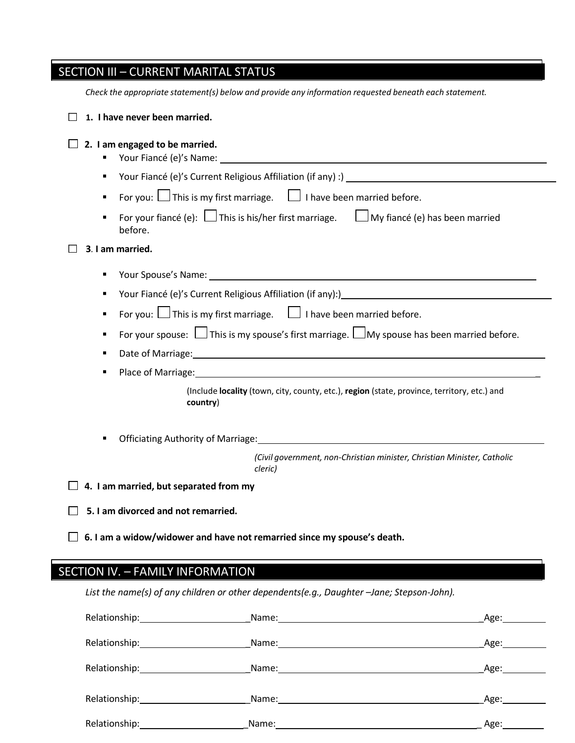| <b>SECTION III - CURRENT MARITAL STATUS</b>                                                                                                                                                                                             |  |  |  |
|-----------------------------------------------------------------------------------------------------------------------------------------------------------------------------------------------------------------------------------------|--|--|--|
| Check the appropriate statement(s) below and provide any information requested beneath each statement.                                                                                                                                  |  |  |  |
| 1. I have never been married.                                                                                                                                                                                                           |  |  |  |
| 2. I am engaged to be married.<br>Your Fiancé (e)'s Name: Name and South Allen Contract Contract Contract Contract Contract Contract Contract Co                                                                                        |  |  |  |
| ٠                                                                                                                                                                                                                                       |  |  |  |
| For you: $\Box$ This is my first marriage. $\Box$ I have been married before.<br>$\blacksquare$                                                                                                                                         |  |  |  |
| For your fiancé (e): $\Box$ This is his/her first marriage. $\Box$ My fiancé (e) has been married<br>before.                                                                                                                            |  |  |  |
| 3. I am married.                                                                                                                                                                                                                        |  |  |  |
| Your Spouse's Name: 1988 Contract to the Contract of the Contract of the Contract of the Contract of the Contract of the Contract of the Contract of the Contract of the Contract of the Contract of the Contract of the Contr<br>٠     |  |  |  |
| Your Fiancé (e)'s Current Religious Affiliation (if any):)<br>Sour Fiancé (e)'s Current Religious Affiliation (if any):)<br>Source Manager Manager Manager Manager Manager Manager Manager Manager Manager Manager Manager Manager<br>٠ |  |  |  |
| For you: $\Box$ This is my first marriage. $\Box$ I have been married before.<br>٠                                                                                                                                                      |  |  |  |
| For your spouse: $\Box$ This is my spouse's first marriage. $\Box$ My spouse has been married before.<br>٠                                                                                                                              |  |  |  |
| Date of Marriage: 1990 Marriage: 1990 Marriagn Marriagn Marriagn Marriagn Marriagn Marriagn Marriagn Marriagn                                                                                                                           |  |  |  |
| Place of Marriage: etc. All and the contract of the contract of the contract of the contract of the contract of the contract of the contract of the contract of the contract of the contract of the contract of the contract o          |  |  |  |
| (Include locality (town, city, county, etc.), region (state, province, territory, etc.) and<br>country)                                                                                                                                 |  |  |  |
| ٠                                                                                                                                                                                                                                       |  |  |  |
| (Civil government, non-Christian minister, Christian Minister, Catholic<br>cleric)                                                                                                                                                      |  |  |  |
| $\Box$ 4. I am married, but separated from my                                                                                                                                                                                           |  |  |  |
| 5. I am divorced and not remarried.                                                                                                                                                                                                     |  |  |  |
| 6. I am a widow/widower and have not remarried since my spouse's death.                                                                                                                                                                 |  |  |  |

## SECTION IV. – FAMILY INFORMATION

*List the name(s) of any children or other dependents(e.g., Daughter –Jane; Stepson-John).*

|                             |       | Age:___________                                                                                                                                                                                                               |
|-----------------------------|-------|-------------------------------------------------------------------------------------------------------------------------------------------------------------------------------------------------------------------------------|
|                             |       | Age:___________                                                                                                                                                                                                               |
| Relationship: 1999          | Name: | Age: and the set of the set of the set of the set of the set of the set of the set of the set of the set of the set of the set of the set of the set of the set of the set of the set of the set of the set of the set of the |
| Relationship: 1999          |       | Age:                                                                                                                                                                                                                          |
| Relationship: Nelationship: |       | Age:                                                                                                                                                                                                                          |